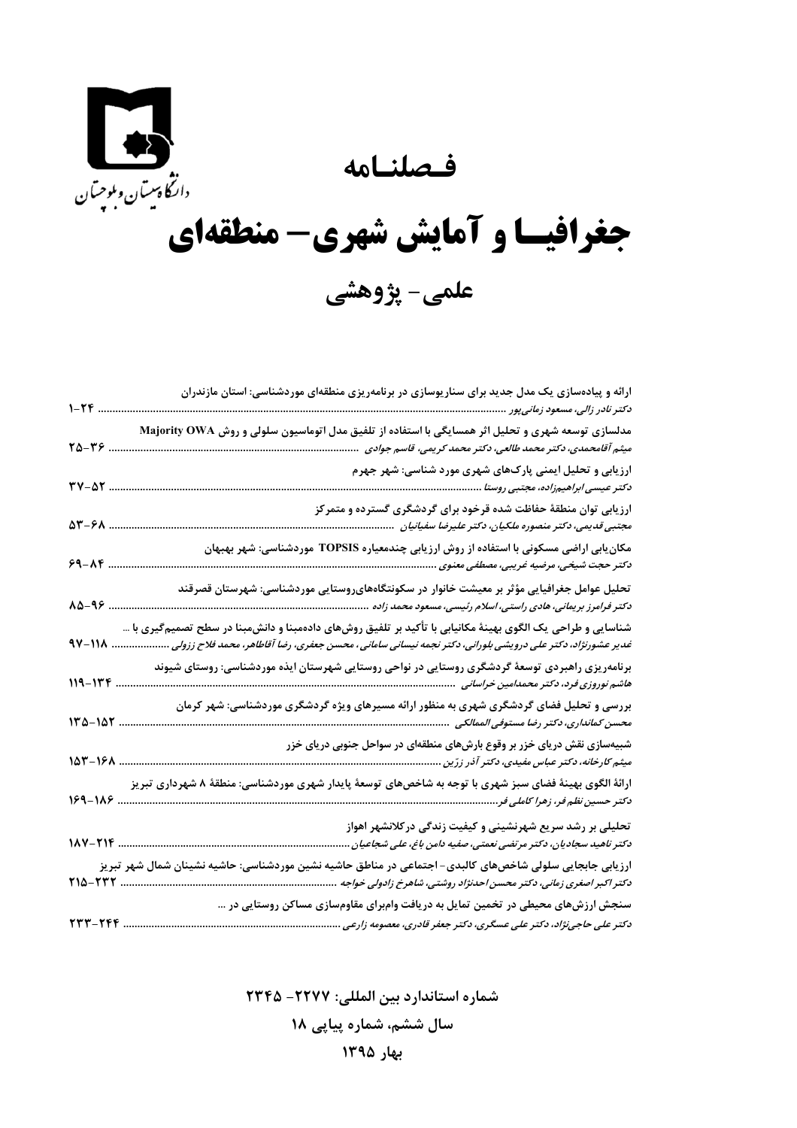فصلنامه



## جغرافیسا و آمایش شهری- منطقهای علمي- پژوهشي

| $1 - 56$                  | ارائه و پیادهسازی یک مدل جدید برای سناریوسازی در برنامهریزی منطقهای موردشناسی: استان مازندران<br>د کتر نادر زالی، مسعود زمانیپور .                                                                                       |
|---------------------------|--------------------------------------------------------------------------------------------------------------------------------------------------------------------------------------------------------------------------|
| $T\Delta - T$ .           | مدلسازی توسعه شهری و تحلیل اثر همسایگی با استفاده از تلفیق مدل اتوماسیون سلولی و روش Majority OWA<br>میثم آقامحمدی، دکتر محمد طالعی، دکتر محمد کریمی، قاسم جوادی                                                         |
| $\mathbf{y}-\mathbf{y}$ . | ارزیابی و تحلیل ایمنی پارکھای شهری مورد شناسی: شهر جهرم<br>دکتر عیسی ابراهیمزاده، مجتبی روستا                                                                                                                            |
| 58-81                     | ارزیابی توان منطقهٔ حفاظت شده قرخود برای گردشگری گسترده و متمرکز<br>مجتبی قدیمی، دکتر منصوره ملکیان، دکتر علیرضا سفیانیان                                                                                                |
| $9 - 19$                  | مکان بابی اراضی مسکونی با استفاده از روش ارز بابی چندمعیاره TOPSIS موردشناسی: شهر بهبهان                                                                                                                                 |
| 88-46                     | تحلیل عوامل جغرافیایی مؤثر بر معیشت خانوار در سکونتگاههایروستایی موردشناسی: شهرستان قصرقند<br>د کتر فرامرز بریمانی، هادی راستی، اسلام رئیسی، مسعود محمد زاده                                                             |
| 97-118.                   | شناسایی و طراحی یک الگوی بهینهٔ مکانیابی با تأکید بر تلفیق روشهای دادهمبنا و دانشمبنا در سطح تصمیمگیری با …<br>غدیر عشورنژاد، دکتر علی درویشی بلورانی، دکتر نجمه نیسانی سامانی، محسن جعفری، رضا آقاطاهر، محمد فلاح ززولی |
| $119 - 177$               | برنامهریزی راهبردی توسعهٔ گردشگری روستایی در نواحی روستایی شهرستان ایذه موردشناسی: روستای شیوند                                                                                                                          |
| $140 - 187$               | بررسی و تحلیل فضای گردشگری شهری به منظور ارائه مسیرهای ویژه گردشگری موردشناسی: شهر کرمان                                                                                                                                 |
| $107 - 191$               | شبیهسازی نقش دریای خزر بر وقوع بارشهای منطقهای در سواحل جنوبی دریای خزر<br>میثم کارخانه، دکتر عباس مفیدی، دکتر آذر زرّین                                                                                                 |
| $189 - 118$ .             | ارائهٔ الگوی بهینهٔ فضای سبز شهری با توجه به شاخصهای توسعهٔ پایدار شهری موردشناسی: منطقهٔ ۸ شهرداری تبریز                                                                                                                |
|                           | تحلیلی بر رشد سریع شهرنشینی و کیفیت زندگی درکلانشهر اهواز<br>1^V-TIF<br>دکتر ناهید سجادیان، دکتر مرتضی نعمتی، صفیه دامن باغ، علی شجاعیان                                                                                 |
| $Y10-YYY$                 | ارزیابی جابجایی سلولی شاخصهای کالبدی- اجتماعی در مناطق حاشیه نشین موردشناسی: حاشیه نشینان شمال شهر تبریز<br>دکتر اکبر اصغری زمانی، دکتر محسن احدنژاد روشتی، شاهرخ زادولی خواجه                                           |
|                           | سنجش ارزشهای محیطی در تخمین تمایل به دریافت وامبرای مقاومسازی مساکن روستایی در …                                                                                                                                         |
| ۲۳۳-۲۴۴                   | دکتر علی حاجی $\dot{\mathcal{E}}$ ناد، دکتر علی عسگری، دکتر جعفر قادری، معصومه زارعی                                                                                                                                     |

شماره استاندارد بين المللي: ٢٢٢٧- ٢٣۴۵ سال ششم، شماره پیاپی ۱۸

بهار ١٣٩٥